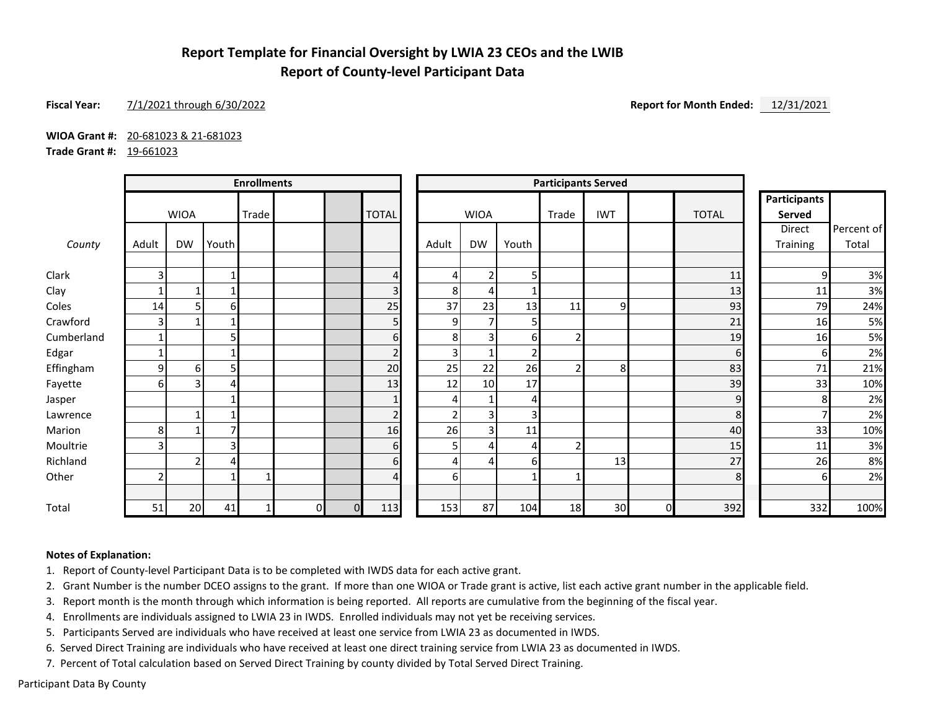## **Report Template for Financial Oversight by LWIA 23 CEOs and the LWIB Report of County-level Participant Data**

#### **Fiscal Year:** 7/1/2021 through 6/30/2022 **Report for Month Ended:** 12/31/2021

**WIOA Grant #:** 20-681023 & 21-681023

**Trade Grant #:** 19-661023

|            | <b>Enrollments</b> |                |       |       |          | <b>Participants Served</b> |                |                |                |                |       |                |          |              |                               |            |
|------------|--------------------|----------------|-------|-------|----------|----------------------------|----------------|----------------|----------------|----------------|-------|----------------|----------|--------------|-------------------------------|------------|
|            |                    | <b>WIOA</b>    |       | Trade |          |                            | <b>TOTAL</b>   |                | <b>WIOA</b>    |                | Trade | <b>IWT</b>     |          | <b>TOTAL</b> | <b>Participants</b><br>Served |            |
|            |                    |                |       |       |          |                            |                |                |                |                |       |                |          |              | Direct                        | Percent of |
| County     | Adult              | <b>DW</b>      | Youth |       |          |                            |                | Adult          | DW             | Youth          |       |                |          |              | Training                      | Total      |
| Clark      | ₹                  |                |       |       |          |                            | 4              | 4              | $\overline{2}$ | 5 <sub>1</sub> |       |                |          | 11           | 9                             | 3%         |
| Clay       |                    | 1              |       |       |          |                            | 3              | 8              | 4              |                |       |                |          | 13           | 11                            | 3%         |
| Coles      | 14                 | 5              | 6     |       |          |                            | 25             | 37             | 23             | 13             | 11    | 9              |          | 93           | 79                            | 24%        |
| Crawford   | 3                  | 1              |       |       |          |                            | 5              | 9              | $\overline{7}$ | 5 <sub>l</sub> |       |                |          | 21           | 16                            | 5%         |
| Cumberland |                    |                | 5     |       |          |                            | 6              | 8              | 3 <sup>1</sup> | 6              |       |                |          | 19           | 16                            | 5%         |
| Edgar      |                    |                |       |       |          |                            | $\overline{2}$ | $\overline{3}$ |                | 2              |       |                |          | $6 \mid$     | 6                             | 2%         |
| Effingham  | 9                  | 6              | 5     |       |          |                            | 20             | 25             | 22             | 26             |       | 8 <sup>1</sup> |          | 83           | 71                            | 21%        |
| Fayette    | 6                  | 3              |       |       |          |                            | 13             | 12             | 10             | 17             |       |                |          | 39           | 33                            | 10%        |
| Jasper     |                    |                |       |       |          |                            | $\mathbf{1}$   | 4              | $\mathbf{1}$   | 4              |       |                |          | 9            | 8                             | 2%         |
| Lawrence   |                    | $\mathbf{1}$   |       |       |          |                            | $\overline{2}$ | $\overline{2}$ | $\overline{3}$ | 3              |       |                |          | 8            |                               | 2%         |
| Marion     | 8                  |                |       |       |          |                            | 16             | 26             | 3              | 11             |       |                |          | 40           | 33                            | 10%        |
| Moultrie   |                    |                | 3     |       |          |                            | 6              | 5              | 4              |                |       |                |          | 15           | 11                            | 3%         |
| Richland   |                    | $\overline{2}$ | 4     |       |          |                            | 6              | 4              | 4              | 6              |       | 13             |          | 27           | 26                            | 8%         |
| Other      | ٠                  |                |       |       |          |                            | 4              | 6              |                |                |       |                |          | 8            |                               | 2%         |
| Total      | 51                 | 20             | 41    |       | $\Omega$ | $\Omega$                   | 113            | 153            | 87             | 104            | 18    | 30             | $\Omega$ | 392          | 332                           | 100%       |

#### **Notes of Explanation:**

1. Report of County-level Participant Data is to be completed with IWDS data for each active grant.

2. Grant Number is the number DCEO assigns to the grant. If more than one WIOA or Trade grant is active, list each active grant number in the applicable field.

3. Report month is the month through which information is being reported. All reports are cumulative from the beginning of the fiscal year.

4. Enrollments are individuals assigned to LWIA 23 in IWDS. Enrolled individuals may not yet be receiving services.

5. Participants Served are individuals who have received at least one service from LWIA 23 as documented in IWDS.

6. Served Direct Training are individuals who have received at least one direct training service from LWIA 23 as documented in IWDS.

7. Percent of Total calculation based on Served Direct Training by county divided by Total Served Direct Training.

Participant Data By County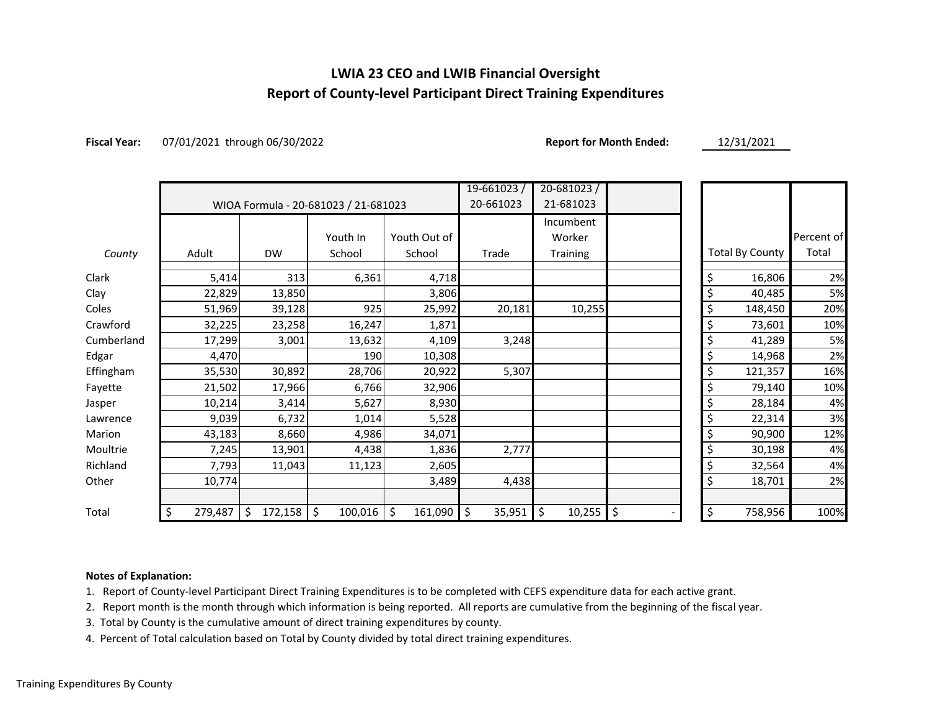## **LWIA 23 CEO and LWIB Financial Oversight Report of County-level Participant Direct Training Expenditures**

**Fiscal Year:** 07/01/2021 through 06/30/2022 **Report for Month Ended:** 12/31/2021

|            |                                      |                    |          |               | $19 - 661023/$ | $20 - 681023$ |          |                        |            |
|------------|--------------------------------------|--------------------|----------|---------------|----------------|---------------|----------|------------------------|------------|
|            | WIOA Formula - 20-681023 / 21-681023 |                    |          |               | 20-661023      | 21-681023     |          |                        |            |
|            |                                      |                    |          |               |                | Incumbent     |          |                        |            |
|            |                                      |                    | Youth In | Youth Out of  |                | Worker        |          |                        | Percent of |
| County     | Adult                                | <b>DW</b>          | School   | School        | Trade          | Training      |          | <b>Total By County</b> | Total      |
| Clark      | 5,414                                | 313                | 6,361    | 4,718         |                |               | \$       | 16,806                 | 2%         |
| Clay       | 22,829                               | 13,850             |          | 3,806         |                |               | \$       | 40,485                 | 5%         |
| Coles      | 51,969                               | 39,128             | 925      | 25,992        | 20,181         | 10,255        | \$       | 148,450                | 20%        |
| Crawford   | 32,225                               | 23,258             | 16,247   | 1,871         |                |               | \$       | 73,601                 | 10%        |
| Cumberland | 17,299                               | 3,001              | 13,632   | 4,109         | 3,248          |               | \$       | 41,289                 | 5%         |
| Edgar      | 4,470                                |                    | 190      | 10,308        |                |               | \$       | 14,968                 | 2%         |
| Effingham  | 35,530                               | 30,892             | 28,706   | 20,922        | 5,307          |               | \$       | 121,357                | 16%        |
| Fayette    | 21,502                               | 17,966             | 6,766    | 32,906        |                |               | \$       | 79,140                 | 10%        |
| Jasper     | 10,214                               | 3,414              | 5,627    | 8,930         |                |               | \$       | 28,184                 | 4%         |
| Lawrence   | 9,039                                | 6,732              | 1,014    | 5,528         |                |               | \$       | 22,314                 | 3%         |
| Marion     | 43,183                               | 8,660              | 4,986    | 34,071        |                |               | \$       | 90,900                 | 12%        |
| Moultrie   | 7,245                                | 13,901             | 4,438    | 1,836         | 2,777          |               | \$       | 30,198                 | 4%         |
| Richland   | 7,793                                | 11,043             | 11,123   | 2,605         |                |               | \$       | 32,564                 | 4%         |
| Other      | 10,774                               |                    |          | 3,489         | 4,438          |               | \$       | 18,701                 | 2%         |
| Total      | \$<br>279,487                        | $172,158$ \$<br>\$ | 100,016  | \$<br>161,090 | \$<br>35,951   | \$<br>10,255  | \$<br>\$ | 758,956                | 100%       |

#### **Notes of Explanation:**

1. Report of County-level Participant Direct Training Expenditures is to be completed with CEFS expenditure data for each active grant.

2. Report month is the month through which information is being reported. All reports are cumulative from the beginning of the fiscal year.

3. Total by County is the cumulative amount of direct training expenditures by county.

4. Percent of Total calculation based on Total by County divided by total direct training expenditures.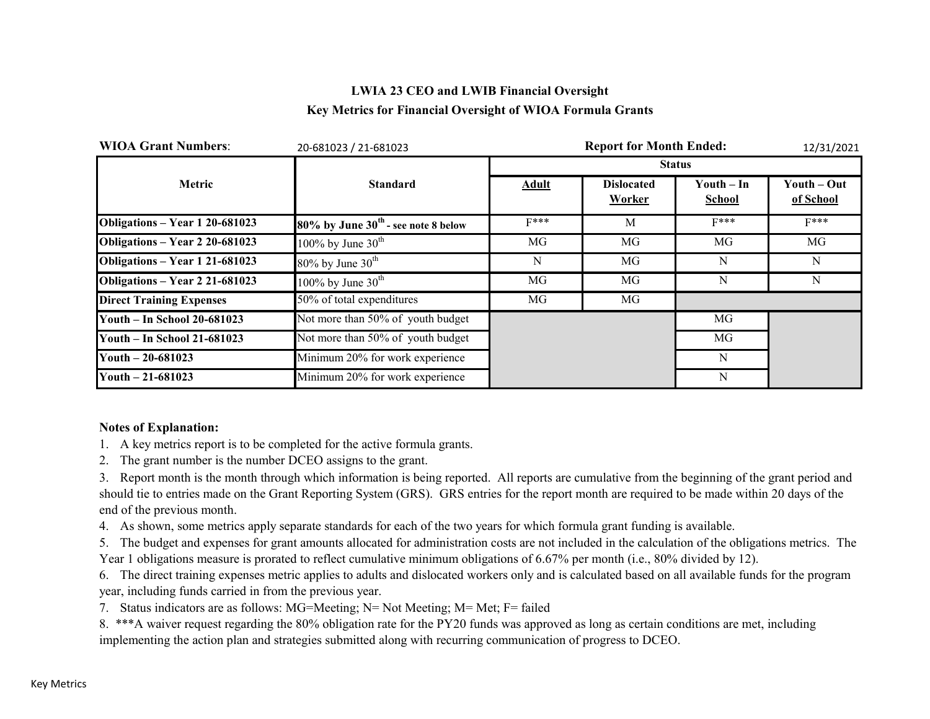## **LWIA 23 CEO and LWIB Financial Oversight Key Metrics for Financial Oversight of WIOA Formula Grants**

| <b>WIOA Grant Numbers:</b>      | 20-681023 / 21-681023                    |              | 12/31/2021                  |                             |                          |
|---------------------------------|------------------------------------------|--------------|-----------------------------|-----------------------------|--------------------------|
|                                 |                                          |              |                             | <b>Status</b>               |                          |
| Metric                          | <b>Standard</b>                          | <b>Adult</b> | <b>Dislocated</b><br>Worker | Youth – In<br><b>School</b> | Youth – Out<br>of School |
| Obligations - Year 1 20-681023  | $80\%$ by June $30th$ - see note 8 below | $F***$       | M                           | $F***$                      | $F***$                   |
| Obligations - Year 2 20-681023  | 100% by June $30^{\text{th}}$            | MG           | MG                          | MG                          | MG                       |
| Obligations - Year 1 21-681023  | $80\%$ by June $30th$                    | N            | MG                          | N                           | N                        |
| Obligations - Year 2 21-681023  | 100% by June $30th$                      | MG           | MG                          | N                           | N                        |
| <b>Direct Training Expenses</b> | 50% of total expenditures                | MG           | MG                          |                             |                          |
| Youth - In School 20-681023     | Not more than 50% of youth budget        |              |                             | MG                          |                          |
| Youth - In School 21-681023     | Not more than 50% of youth budget        |              |                             | MG                          |                          |
| Youth $-20-681023$              | Minimum 20% for work experience          |              |                             | N                           |                          |
| Youth $-21-681023$              | Minimum 20% for work experience          |              |                             | N                           |                          |

#### **Notes of Explanation:**

- 1. A key metrics report is to be completed for the active formula grants.
- 2. The grant number is the number DCEO assigns to the grant.

3. Report month is the month through which information is being reported. All reports are cumulative from the beginning of the grant period and should tie to entries made on the Grant Reporting System (GRS). GRS entries for the report month are required to be made within 20 days of the end of the previous month.

4. As shown, some metrics apply separate standards for each of the two years for which formula grant funding is available.

5. The budget and expenses for grant amounts allocated for administration costs are not included in the calculation of the obligations metrics. The Year 1 obligations measure is prorated to reflect cumulative minimum obligations of 6.67% per month (i.e., 80% divided by 12).

6. The direct training expenses metric applies to adults and dislocated workers only and is calculated based on all available funds for the program year, including funds carried in from the previous year.

7. Status indicators are as follows: MG=Meeting; N= Not Meeting; M= Met; F= failed

8. \*\*\*A waiver request regarding the 80% obligation rate for the PY20 funds was approved as long as certain conditions are met, including implementing the action plan and strategies submitted along with recurring communication of progress to DCEO.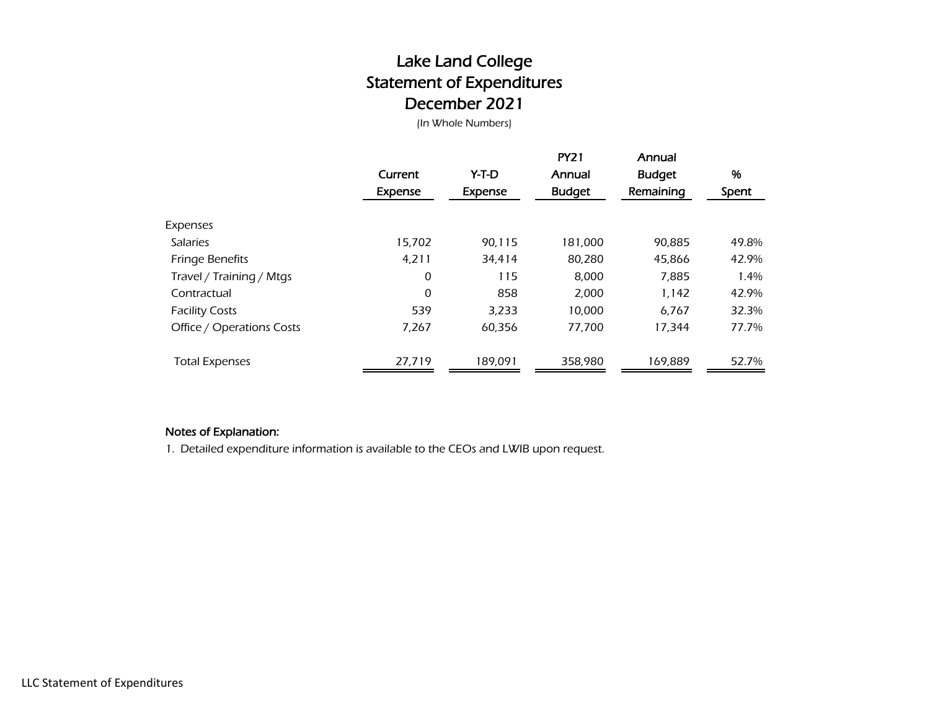# Lake Land College Statement of Expenditures December 2021

(In Whole Numbers)

|                           | Current<br>Expense | Y-T-D<br>Expense | <b>PY21</b><br>Annual<br><b>Budget</b> | Annual<br><b>Budget</b><br>Remaining | %<br>Spent |
|---------------------------|--------------------|------------------|----------------------------------------|--------------------------------------|------------|
| Expenses                  |                    |                  |                                        |                                      |            |
| <b>Salaries</b>           | 15,702             | 90,115           | 181,000                                | 90.885                               | 49.8%      |
| <b>Fringe Benefits</b>    | 4.211              | 34.414           | 80,280                                 | 45,866                               | 42.9%      |
| Travel / Training / Mtgs  | 0                  | 115              | 8,000                                  | 7,885                                | 1.4%       |
| Contractual               | 0                  | 858              | 2,000                                  | 1,142                                | 42.9%      |
| <b>Facility Costs</b>     | 539                | 3,233            | 10,000                                 | 6.767                                | 32.3%      |
| Office / Operations Costs | 7.267              | 60.356           | 77.700                                 | 17.344                               | 77.7%      |
| <b>Total Expenses</b>     | 27,719             | 189,091          | 358,980                                | 169,889                              | 52.7%      |

### Notes of Explanation:

1. Detailed expenditure information is available to the CEOs and LWIB upon request.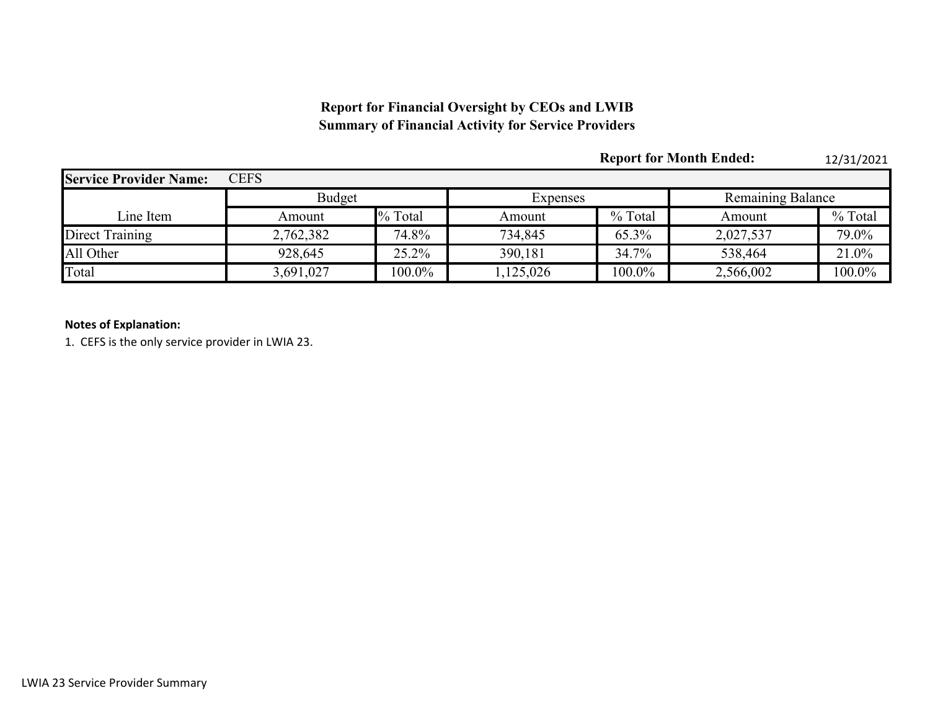## **Report for Financial Oversight by CEOs and LWIB Summary of Financial Activity for Service Providers**

|                               |               |           |           |           | <b>Report for Month Ended:</b> | 12/31/2021 |  |
|-------------------------------|---------------|-----------|-----------|-----------|--------------------------------|------------|--|
| <b>Service Provider Name:</b> | <b>CEFS</b>   |           |           |           |                                |            |  |
|                               | <b>Budget</b> |           | Expenses  |           | Remaining Balance              |            |  |
| Line Item                     | Amount        | % Total   | Amount    | % Total   | Amount                         | % Total    |  |
| Direct Training               | 2,762,382     | 74.8%     | 734,845   | 65.3%     | 2,027,537                      | 79.0%      |  |
| All Other                     | 928,645       | 25.2%     | 390,181   | 34.7%     | 538,464                        | 21.0%      |  |
| Total                         | 3,691,027     | $100.0\%$ | 1,125,026 | $100.0\%$ | 2,566,002                      | 100.0%     |  |

### **Notes of Explanation:**

1. CEFS is the only service provider in LWIA 23.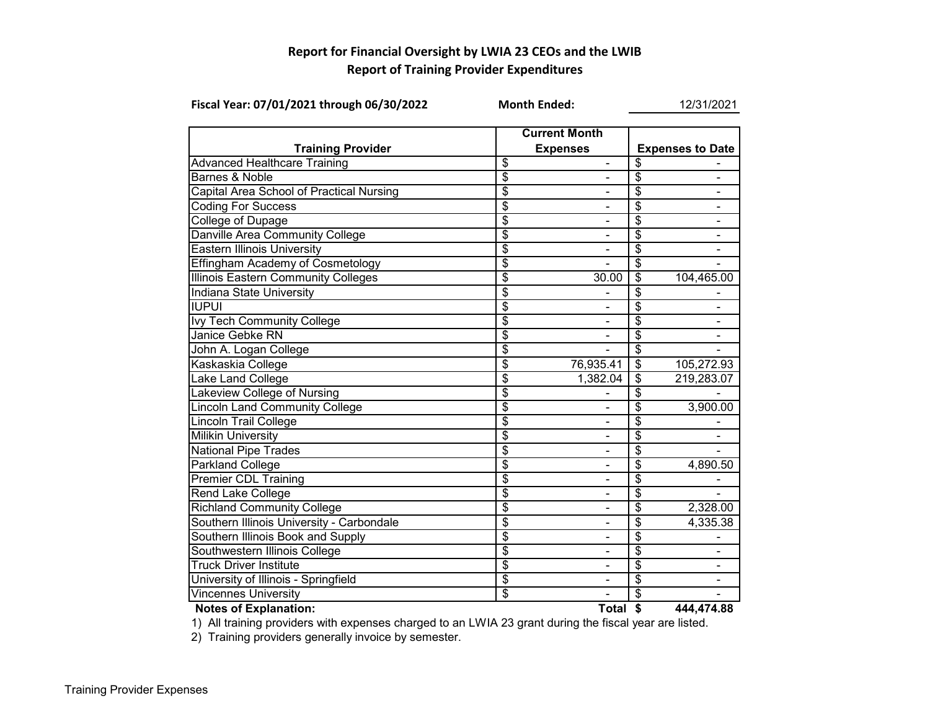## **Report for Financial Oversight by LWIA 23 CEOs and the LWIB Report of Training Provider Expenditures**

| Fiscal Year: 07/01/2021 through 06/30/2022 | <b>Month Ended:</b>                     |                | 12/31/2021               |                         |  |  |
|--------------------------------------------|-----------------------------------------|----------------|--------------------------|-------------------------|--|--|
| <b>Training Provider</b>                   | <b>Current Month</b><br><b>Expenses</b> |                |                          | <b>Expenses to Date</b> |  |  |
| <b>Advanced Healthcare Training</b>        | \$                                      | $\frac{1}{2}$  | \$                       |                         |  |  |
| Barnes & Noble                             | $\overline{\$}$                         |                | \$                       |                         |  |  |
| Capital Area School of Practical Nursing   | \$                                      | $\blacksquare$ | \$                       | $\blacksquare$          |  |  |
| <b>Coding For Success</b>                  | $\overline{\$}$                         | $\blacksquare$ | $\overline{\$}$          | $\blacksquare$          |  |  |
| College of Dupage                          | $\overline{\$}$                         |                | \$                       | $\blacksquare$          |  |  |
| Danville Area Community College            | \$                                      |                | \$                       |                         |  |  |
| <b>Eastern Illinois University</b>         | $\overline{\$}$                         |                | \$                       |                         |  |  |
| Effingham Academy of Cosmetology           | \$                                      |                | \$                       |                         |  |  |
| <b>Illinois Eastern Community Colleges</b> | \$                                      | 30.00          | \$                       | 104,465.00              |  |  |
| <b>Indiana State University</b>            | $\overline{\$}$                         |                | \$                       |                         |  |  |
| <b>IUPUI</b>                               | $\overline{\$}$                         |                | \$                       |                         |  |  |
| <b>Ivy Tech Community College</b>          | $\overline{\$}$                         |                | $\overline{\$}$          |                         |  |  |
| Janice Gebke RN                            | $\overline{\$}$                         |                | $\overline{\$}$          |                         |  |  |
| John A. Logan College                      | \$                                      |                | \$                       |                         |  |  |
| Kaskaskia College                          | $\overline{\$}$                         | 76,935.41      | $\overline{\mathcal{S}}$ | 105,272.93              |  |  |
| Lake Land College                          | $\overline{\$}$                         | 1,382.04       | $\overline{\$}$          | 219,283.07              |  |  |
| Lakeview College of Nursing                | \$                                      |                | \$                       |                         |  |  |
| <b>Lincoln Land Community College</b>      | $\overline{\mathcal{S}}$                |                | \$                       | 3,900.00                |  |  |
| Lincoln Trail College                      | \$                                      |                | \$                       |                         |  |  |
| <b>Milikin University</b>                  | \$                                      |                | \$                       |                         |  |  |
| <b>National Pipe Trades</b>                | $\overline{\$}$                         |                | $\overline{\$}$          |                         |  |  |
| Parkland College                           | \$                                      |                | \$                       | 4,890.50                |  |  |
| <b>Premier CDL Training</b>                | \$                                      |                | \$                       |                         |  |  |
| <b>Rend Lake College</b>                   | $\overline{\$}$                         |                | $\overline{\$}$          |                         |  |  |
| <b>Richland Community College</b>          | \$                                      | ۰              | \$                       | 2,328.00                |  |  |
| Southern Illinois University - Carbondale  | $\overline{\$}$                         | ۰              | \$                       | 4,335.38                |  |  |
| Southern Illinois Book and Supply          | $\overline{\$}$                         | $\blacksquare$ | $\overline{\$}$          |                         |  |  |
| Southwestern Illinois College              | $\overline{\boldsymbol{\theta}}$        |                | \$                       |                         |  |  |
| <b>Truck Driver Institute</b>              | $\overline{\$}$                         |                | $\overline{\$}$          |                         |  |  |
| University of Illinois - Springfield       | $\overline{\$}$                         |                | \$                       |                         |  |  |
| <b>Vincennes University</b>                | $\overline{\boldsymbol{\mathsf{s}}}$    |                | \$                       |                         |  |  |
| <b>Notes of Explanation:</b>               |                                         | Total \$       |                          | 444,474.88              |  |  |



1) All training providers with expenses charged to an LWIA 23 grant during the fiscal year are listed.

2) Training providers generally invoice by semester.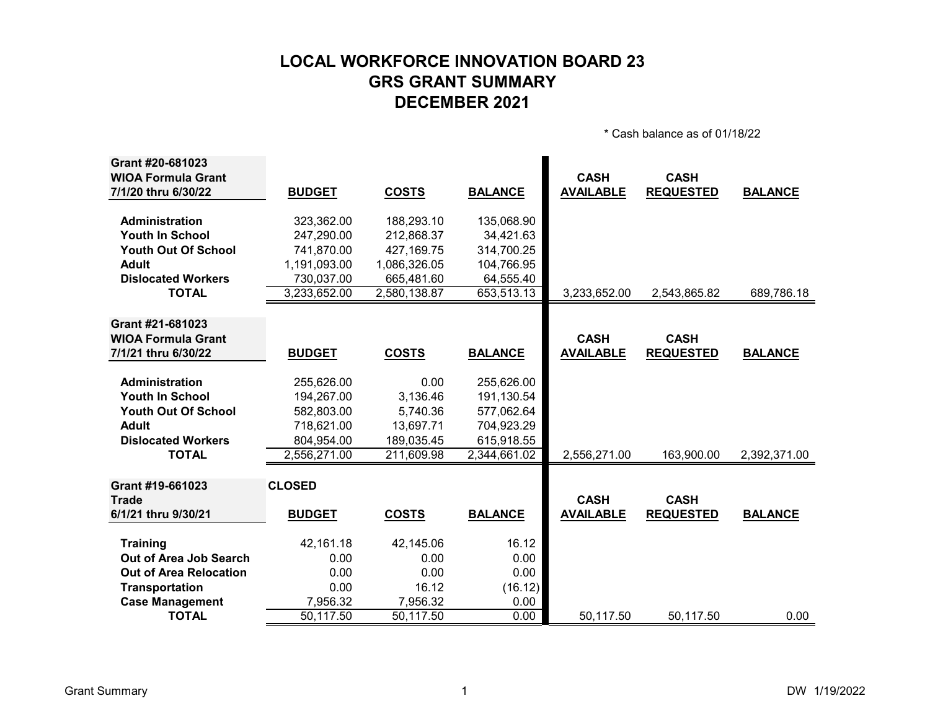# **LOCAL WORKFORCE INNOVATION BOARD 23 GRS GRANT SUMMARY DECEMBER 2021**

\* Cash balance as of 01/18/22

| Grant #20-681023              |               |              |                |                  |                  |                |
|-------------------------------|---------------|--------------|----------------|------------------|------------------|----------------|
| <b>WIOA Formula Grant</b>     |               |              |                | <b>CASH</b>      | <b>CASH</b>      |                |
| 7/1/20 thru 6/30/22           | <b>BUDGET</b> | <b>COSTS</b> | <b>BALANCE</b> | <b>AVAILABLE</b> | <b>REQUESTED</b> | <b>BALANCE</b> |
| Administration                | 323,362.00    | 188,293.10   | 135,068.90     |                  |                  |                |
| <b>Youth In School</b>        | 247,290.00    | 212,868.37   | 34,421.63      |                  |                  |                |
| <b>Youth Out Of School</b>    | 741,870.00    | 427,169.75   | 314,700.25     |                  |                  |                |
| <b>Adult</b>                  | 1,191,093.00  | 1,086,326.05 | 104,766.95     |                  |                  |                |
| <b>Dislocated Workers</b>     | 730,037.00    | 665,481.60   | 64,555.40      |                  |                  |                |
| <b>TOTAL</b>                  | 3,233,652.00  | 2,580,138.87 | 653,513.13     | 3,233,652.00     | 2,543,865.82     | 689,786.18     |
|                               |               |              |                |                  |                  |                |
| Grant #21-681023              |               |              |                |                  |                  |                |
| <b>WIOA Formula Grant</b>     |               |              |                | <b>CASH</b>      | <b>CASH</b>      |                |
| 7/1/21 thru 6/30/22           | <b>BUDGET</b> | <b>COSTS</b> | <b>BALANCE</b> | <b>AVAILABLE</b> | <b>REQUESTED</b> | <b>BALANCE</b> |
|                               |               |              |                |                  |                  |                |
| Administration                | 255,626.00    | 0.00         | 255,626.00     |                  |                  |                |
| <b>Youth In School</b>        | 194,267.00    | 3,136.46     | 191,130.54     |                  |                  |                |
| <b>Youth Out Of School</b>    | 582,803.00    | 5,740.36     | 577,062.64     |                  |                  |                |
| <b>Adult</b>                  | 718,621.00    | 13,697.71    | 704,923.29     |                  |                  |                |
| <b>Dislocated Workers</b>     | 804,954.00    | 189,035.45   | 615,918.55     |                  |                  |                |
| <b>TOTAL</b>                  | 2,556,271.00  | 211,609.98   | 2,344,661.02   | 2,556,271.00     | 163,900.00       | 2,392,371.00   |
|                               |               |              |                |                  |                  |                |
| Grant #19-661023              | <b>CLOSED</b> |              |                |                  |                  |                |
| <b>Trade</b>                  |               |              |                | <b>CASH</b>      | <b>CASH</b>      |                |
| 6/1/21 thru 9/30/21           | <b>BUDGET</b> | <b>COSTS</b> | <b>BALANCE</b> | <b>AVAILABLE</b> | <b>REQUESTED</b> | <b>BALANCE</b> |
| <b>Training</b>               | 42,161.18     | 42,145.06    | 16.12          |                  |                  |                |
| Out of Area Job Search        | 0.00          | 0.00         | 0.00           |                  |                  |                |
| <b>Out of Area Relocation</b> | 0.00          | 0.00         | 0.00           |                  |                  |                |
| <b>Transportation</b>         | 0.00          | 16.12        | (16.12)        |                  |                  |                |
| <b>Case Management</b>        | 7,956.32      | 7,956.32     | 0.00           |                  |                  |                |
| <b>TOTAL</b>                  | 50,117.50     | 50,117.50    | 0.00           | 50,117.50        | 50,117.50        | 0.00           |